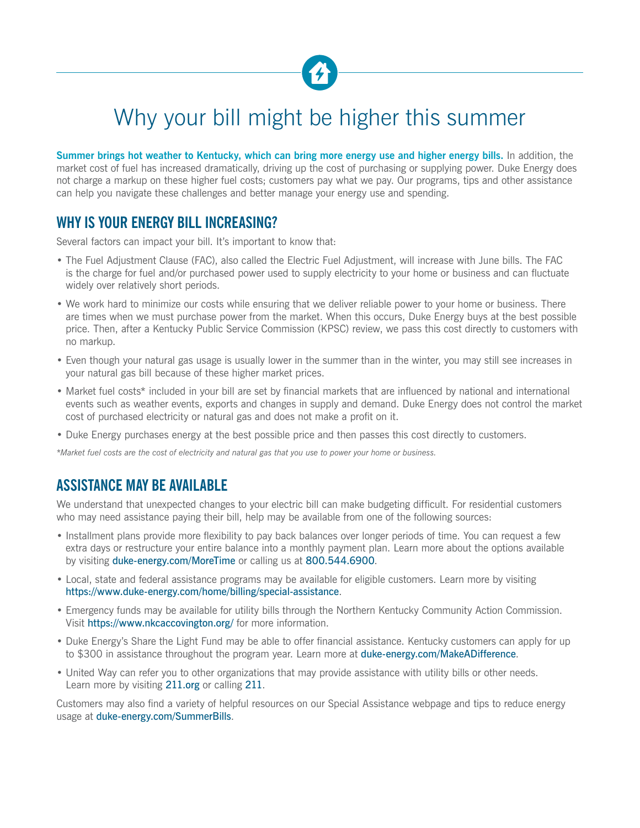

# Why your bill might be higher this summer

Summer brings hot weather to Kentucky, which can bring more energy use and higher energy bills. In addition, the market cost of fuel has increased dramatically, driving up the cost of purchasing or supplying power. Duke Energy does not charge a markup on these higher fuel costs; customers pay what we pay. Our programs, tips and other assistance can help you navigate these challenges and better manage your energy use and spending.

# **WHY IS YOUR ENERGY BILL INCREASING?**

Several factors can impact your bill. It's important to know that:

- The Fuel Adjustment Clause (FAC), also called the Electric Fuel Adjustment, will increase with June bills. The FAC is the charge for fuel and/or purchased power used to supply electricity to your home or business and can fluctuate widely over relatively short periods.
- We work hard to minimize our costs while ensuring that we deliver reliable power to your home or business. There are times when we must purchase power from the market. When this occurs, Duke Energy buys at the best possible price. Then, after a Kentucky Public Service Commission (KPSC) review, we pass this cost directly to customers with no markup.
- Even though your natural gas usage is usually lower in the summer than in the winter, you may still see increases in your natural gas bill because of these higher market prices.
- Market fuel costs\* included in your bill are set by financial markets that are influenced by national and international events such as weather events, exports and changes in supply and demand. Duke Energy does not control the market cost of purchased electricity or natural gas and does not make a profit on it.
- Duke Energy purchases energy at the best possible price and then passes this cost directly to customers.

*\*Market fuel costs are the cost of electricity and natural gas that you use to power your home or business.*

## **ASSISTANCE MAY BE AVAILABLE**

We understand that unexpected changes to your electric bill can make budgeting difficult. For residential customers who may need assistance paying their bill, help may be available from one of the following sources:

- Installment plans provide more flexibility to pay back balances over longer periods of time. You can request a few extra days or restructure your entire balance into a monthly payment plan. Learn more about the options available by visiting [duke-energy.com/MoreTime](http://duke-energy.com/MoreTime) or calling us at 800.544.6900.
- Local, state and federal assistance programs may be available for eligible customers. Learn more by visiting <https://www.duke-energy.com/home/billing/special-assistance>.
- Emergency funds may be available for utility bills through the Northern Kentucky Community Action Commission. Visit <https://www.nkcaccovington.org/> for more information.
- Duke Energy's [Share the Light Fund](https://www.duke-energy.com/home/billing/special-assistance/share-the-light) may be able to offer financial assistance. Kentucky customers can apply for up to \$300 in assistance throughout the program year. Learn more at [duke-energy.com/MakeADifference](http://duke-energy.com/MakeADifference).
- United Way can refer you to other organizations that may provide assistance with utility bills or other needs. Learn more by visiting [211.org](http://211.org) or calling 211.

Customers may also find a variety of helpful resources on our Special Assistance webpage and tips to reduce energy usage at [duke-energy.com/SummerBills](https://www.duke-energy.com/home/billing/seasonal-bills).